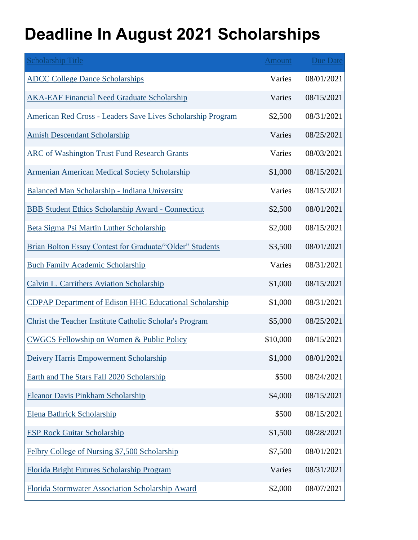## **Deadline In August 2021 Scholarships**

| <b>Scholarship Title</b>                                       | <b>Amount</b> | <b>Due Date</b> |
|----------------------------------------------------------------|---------------|-----------------|
| <b>ADCC College Dance Scholarships</b>                         | Varies        | 08/01/2021      |
| <b>AKA-EAF Financial Need Graduate Scholarship</b>             | Varies        | 08/15/2021      |
| American Red Cross - Leaders Save Lives Scholarship Program    | \$2,500       | 08/31/2021      |
| <b>Amish Descendant Scholarship</b>                            | Varies        | 08/25/2021      |
| <b>ARC of Washington Trust Fund Research Grants</b>            | Varies        | 08/03/2021      |
| <b>Armenian American Medical Society Scholarship</b>           | \$1,000       | 08/15/2021      |
| Balanced Man Scholarship - Indiana University                  | Varies        | 08/15/2021      |
| <b>BBB Student Ethics Scholarship Award - Connecticut</b>      | \$2,500       | 08/01/2021      |
| Beta Sigma Psi Martin Luther Scholarship                       | \$2,000       | 08/15/2021      |
| Brian Bolton Essay Contest for Graduate/"Older" Students       | \$3,500       | 08/01/2021      |
| <b>Buch Family Academic Scholarship</b>                        | Varies        | 08/31/2021      |
| <b>Calvin L. Carrithers Aviation Scholarship</b>               | \$1,000       | 08/15/2021      |
| <b>CDPAP Department of Edison HHC Educational Scholarship</b>  | \$1,000       | 08/31/2021      |
| <b>Christ the Teacher Institute Catholic Scholar's Program</b> | \$5,000       | 08/25/2021      |
| <b>CWGCS Fellowship on Women &amp; Public Policy</b>           | \$10,000      | 08/15/2021      |
| Deivery Harris Empowerment Scholarship                         | \$1,000       | 08/01/2021      |
| Earth and The Stars Fall 2020 Scholarship                      | \$500         | 08/24/2021      |
| <b>Eleanor Davis Pinkham Scholarship</b>                       | \$4,000       | 08/15/2021      |
| <b>Elena Bathrick Scholarship</b>                              | \$500         | 08/15/2021      |
| <b>ESP Rock Guitar Scholarship</b>                             | \$1,500       | 08/28/2021      |
| Felbry College of Nursing \$7,500 Scholarship                  | \$7,500       | 08/01/2021      |
| Florida Bright Futures Scholarship Program                     | Varies        | 08/31/2021      |
| Florida Stormwater Association Scholarship Award               | \$2,000       | 08/07/2021      |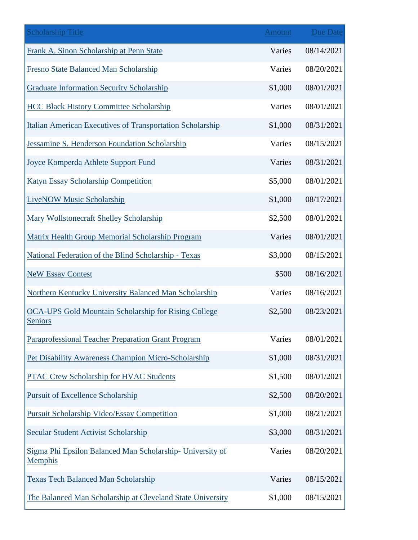| <b>Scholarship Title</b>                                                      | <b>Amount</b> | <b>Due Date</b> |
|-------------------------------------------------------------------------------|---------------|-----------------|
| Frank A. Sinon Scholarship at Penn State                                      | Varies        | 08/14/2021      |
| Fresno State Balanced Man Scholarship                                         | Varies        | 08/20/2021      |
| <b>Graduate Information Security Scholarship</b>                              | \$1,000       | 08/01/2021      |
| <b>HCC Black History Committee Scholarship</b>                                | Varies        | 08/01/2021      |
| Italian American Executives of Transportation Scholarship                     | \$1,000       | 08/31/2021      |
| Jessamine S. Henderson Foundation Scholarship                                 | Varies        | 08/15/2021      |
| Joyce Komperda Athlete Support Fund                                           | Varies        | 08/31/2021      |
| <b>Katyn Essay Scholarship Competition</b>                                    | \$5,000       | 08/01/2021      |
| <b>LiveNOW Music Scholarship</b>                                              | \$1,000       | 08/17/2021      |
| Mary Wollstonecraft Shelley Scholarship                                       | \$2,500       | 08/01/2021      |
| Matrix Health Group Memorial Scholarship Program                              | Varies        | 08/01/2021      |
| National Federation of the Blind Scholarship - Texas                          | \$3,000       | 08/15/2021      |
| <b>NeW Essay Contest</b>                                                      | \$500         | 08/16/2021      |
| <b>Northern Kentucky University Balanced Man Scholarship</b>                  | Varies        | 08/16/2021      |
| <b>OCA-UPS Gold Mountain Scholarship for Rising College</b><br><b>Seniors</b> | \$2,500       | 08/23/2021      |
| Paraprofessional Teacher Preparation Grant Program                            | Varies        | 08/01/2021      |
| Pet Disability Awareness Champion Micro-Scholarship                           | \$1,000       | 08/31/2021      |
| <b>PTAC Crew Scholarship for HVAC Students</b>                                | \$1,500       | 08/01/2021      |
| <b>Pursuit of Excellence Scholarship</b>                                      | \$2,500       | 08/20/2021      |
| <b>Pursuit Scholarship Video/Essay Competition</b>                            | \$1,000       | 08/21/2021      |
| <b>Secular Student Activist Scholarship</b>                                   | \$3,000       | 08/31/2021      |
| Sigma Phi Epsilon Balanced Man Scholarship- University of<br><b>Memphis</b>   | Varies        | 08/20/2021      |
| <b>Texas Tech Balanced Man Scholarship</b>                                    | Varies        | 08/15/2021      |
| The Balanced Man Scholarship at Cleveland State University                    | \$1,000       | 08/15/2021      |